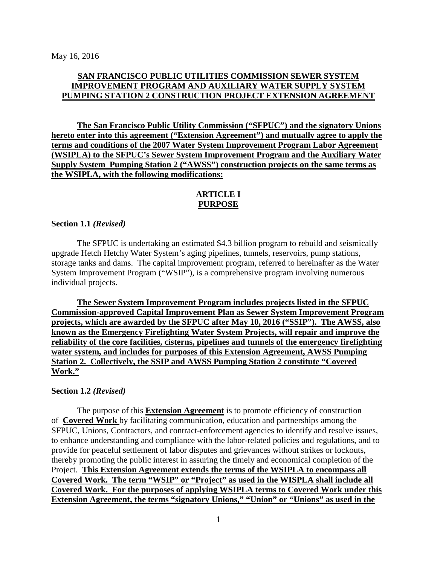## **SAN FRANCISCO PUBLIC UTILITIES COMMISSION SEWER SYSTEM IMPROVEMENT PROGRAM AND AUXILIARY WATER SUPPLY SYSTEM PUMPING STATION 2 CONSTRUCTION PROJECT EXTENSION AGREEMENT**

**The San Francisco Public Utility Commission ("SFPUC") and the signatory Unions hereto enter into this agreement ("Extension Agreement") and mutually agree to apply the terms and conditions of the 2007 Water System Improvement Program Labor Agreement (WSIPLA) to the SFPUC's Sewer System Improvement Program and the Auxiliary Water Supply System Pumping Station 2 ("AWSS") construction projects on the same terms as the WSIPLA, with the following modifications:**

## **ARTICLE I PURPOSE**

#### **Section 1.1** *(Revised)*

The SFPUC is undertaking an estimated \$4.3 billion program to rebuild and seismically upgrade Hetch Hetchy Water System's aging pipelines, tunnels, reservoirs, pump stations, storage tanks and dams. The capital improvement program, referred to hereinafter as the Water System Improvement Program ("WSIP"), is a comprehensive program involving numerous individual projects.

**The Sewer System Improvement Program includes projects listed in the SFPUC Commission-approved Capital Improvement Plan as Sewer System Improvement Program projects, which are awarded by the SFPUC after May 10, 2016 ("SSIP"). The AWSS, also known as the Emergency Firefighting Water System Projects, will repair and improve the reliability of the core facilities, cisterns, pipelines and tunnels of the emergency firefighting water system, and includes for purposes of this Extension Agreement, AWSS Pumping Station 2. Collectively, the SSIP and AWSS Pumping Station 2 constitute "Covered Work."**

#### **Section 1.2** *(Revised)*

The purpose of this **Extension Agreement** is to promote efficiency of construction of **Covered Work** by facilitating communication, education and partnerships among the SFPUC, Unions, Contractors, and contract-enforcement agencies to identify and resolve issues, to enhance understanding and compliance with the labor-related policies and regulations, and to provide for peaceful settlement of labor disputes and grievances without strikes or lockouts, thereby promoting the public interest in assuring the timely and economical completion of the Project. **This Extension Agreement extends the terms of the WSIPLA to encompass all Covered Work. The term "WSIP" or "Project" as used in the WISPLA shall include all Covered Work. For the purposes of applying WSIPLA terms to Covered Work under this Extension Agreement, the terms "signatory Unions," "Union" or "Unions" as used in the**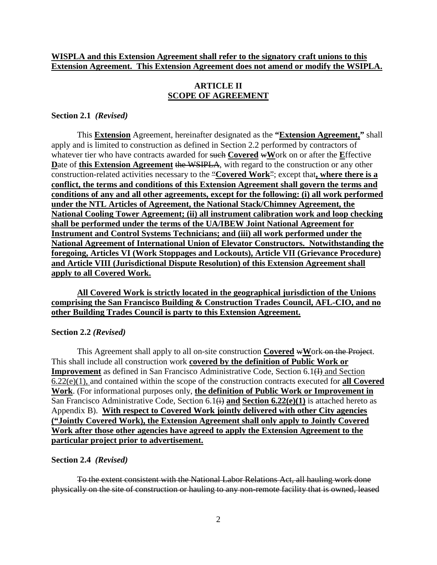## **WISPLA and this Extension Agreement shall refer to the signatory craft unions to this Extension Agreement. This Extension Agreement does not amend or modify the WSIPLA.**

## **ARTICLE II SCOPE OF AGREEMENT**

#### **Section 2.1** *(Revised)*

This **Extension** Agreement, hereinafter designated as the **"Extension Agreement,"** shall apply and is limited to construction as defined in Section 2.2 performed by contractors of whatever tier who have contracts awarded for such **Covered** w**W**ork on or after the **E**ffective Date of this Extension Agreement the WSIPLA, with regard to the construction or any other construction-related activities necessary to the "**Covered Work**"; except that**, where there is a conflict, the terms and conditions of this Extension Agreement shall govern the terms and conditions of any and all other agreements, except for the following: (i) all work performed under the NTL Articles of Agreement, the National Stack/Chimney Agreement, the National Cooling Tower Agreement; (ii) all instrument calibration work and loop checking shall be performed under the terms of the UA/IBEW Joint National Agreement for Instrument and Control Systems Technicians; and (iii) all work performed under the National Agreement of International Union of Elevator Constructors. Notwithstanding the foregoing, Articles VI (Work Stoppages and Lockouts), Article VII (Grievance Procedure) and Article VIII (Jurisdictional Dispute Resolution) of this Extension Agreement shall apply to all Covered Work.**

## **All Covered Work is strictly located in the geographical jurisdiction of the Unions comprising the San Francisco Building & Construction Trades Council, AFL-CIO, and no other Building Trades Council is party to this Extension Agreement.**

#### **Section 2.2** *(Revised)*

This Agreement shall apply to all on-site construction **Covered** w**W**ork on the Project. This shall include all construction work **covered by the definition of Public Work or Improvement** as defined in San Francisco Administrative Code, Section 6.1(H) and Section 6.22(e)(1), and contained within the scope of the construction contracts executed for **all Covered Work**. (For informational purposes only, **the definition of Public Work or Improvement in** San Francisco Administrative Code, Section 6.1(i) **and Section 6.22(e)(1)** is attached hereto as Appendix B). **With respect to Covered Work jointly delivered with other City agencies ("Jointly Covered Work), the Extension Agreement shall only apply to Jointly Covered Work after those other agencies have agreed to apply the Extension Agreement to the particular project prior to advertisement.**

#### **Section 2.4** *(Revised)*

To the extent consistent with the National Labor Relations Act, all hauling work done physically on the site of construction or hauling to any non-remote facility that is owned, leased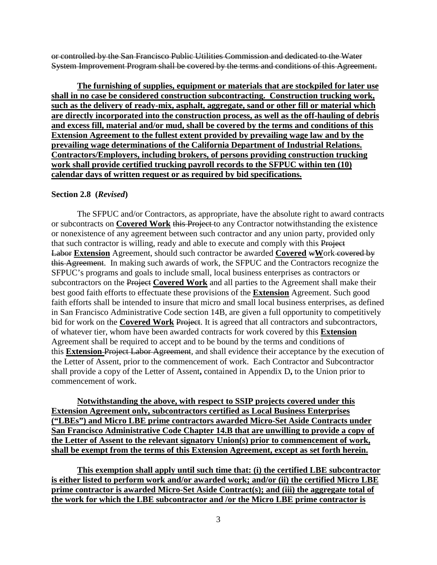or controlled by the San Francisco Public Utilities Commission and dedicated to the Water System Improvement Program shall be covered by the terms and conditions of this Agreement.

**The furnishing of supplies, equipment or materials that are stockpiled for later use shall in no case be considered construction subcontracting. Construction trucking work, such as the delivery of ready-mix, asphalt, aggregate, sand or other fill or material which are directly incorporated into the construction process, as well as the off-hauling of debris and excess fill, material and/or mud, shall be covered by the terms and conditions of this Extension Agreement to the fullest extent provided by prevailing wage law and by the prevailing wage determinations of the California Department of Industrial Relations. Contractors/Employers, including brokers, of persons providing construction trucking work shall provide certified trucking payroll records to the SFPUC within ten (10) calendar days of written request or as required by bid specifications.**

#### **Section 2.8 (***Revised***)**

The SFPUC and/or Contractors, as appropriate, have the absolute right to award contracts or subcontracts on **Covered Work** this Project to any Contractor notwithstanding the existence or nonexistence of any agreement between such contractor and any union party, provided only that such contractor is willing, ready and able to execute and comply with this Project **Labor Extension** Agreement, should such contractor be awarded **Covered** wWork covered by this Agreement. In making such awards of work, the SFPUC and the Contractors recognize the SFPUC's programs and goals to include small, local business enterprises as contractors or subcontractors on the Project **Covered Work** and all parties to the Agreement shall make their best good faith efforts to effectuate these provisions of the **Extension** Agreement. Such good faith efforts shall be intended to insure that micro and small local business enterprises, as defined in San Francisco Administrative Code section 14B, are given a full opportunity to competitively bid for work on the **Covered Work** Project. It is agreed that all contractors and subcontractors, of whatever tier, whom have been awarded contracts for work covered by this **Extension** Agreement shall be required to accept and to be bound by the terms and conditions of this **Extension** Project Labor Agreement, and shall evidence their acceptance by the execution of the Letter of Assent, prior to the commencement of work. Each Contractor and Subcontractor shall provide a copy of the Letter of Assent**,** contained in Appendix D**,** to the Union prior to commencement of work.

**Notwithstanding the above, with respect to SSIP projects covered under this Extension Agreement only, subcontractors certified as Local Business Enterprises ("LBEs") and Micro LBE prime contractors awarded Micro-Set Aside Contracts under San Francisco Administrative Code Chapter 14.B that are unwilling to provide a copy of the Letter of Assent to the relevant signatory Union(s) prior to commencement of work, shall be exempt from the terms of this Extension Agreement, except as set forth herein.**

**This exemption shall apply until such time that: (i) the certified LBE subcontractor is either listed to perform work and/or awarded work; and/or (ii) the certified Micro LBE prime contractor is awarded Micro-Set Aside Contract(s); and (iii) the aggregate total of the work for which the LBE subcontractor and /or the Micro LBE prime contractor is**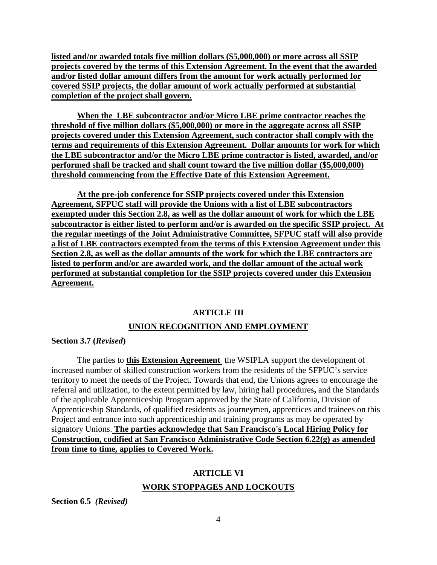**listed and/or awarded totals five million dollars (\$5,000,000) or more across all SSIP projects covered by the terms of this Extension Agreement. In the event that the awarded and/or listed dollar amount differs from the amount for work actually performed for covered SSIP projects, the dollar amount of work actually performed at substantial completion of the project shall govern.**

**When the LBE subcontractor and/or Micro LBE prime contractor reaches the threshold of five million dollars (\$5,000,000) or more in the aggregate across all SSIP projects covered under this Extension Agreement, such contractor shall comply with the terms and requirements of this Extension Agreement. Dollar amounts for work for which the LBE subcontractor and/or the Micro LBE prime contractor is listed, awarded, and/or performed shall be tracked and shall count toward the five million dollar (\$5,000,000) threshold commencing from the Effective Date of this Extension Agreement.**

**At the pre-job conference for SSIP projects covered under this Extension Agreement, SFPUC staff will provide the Unions with a list of LBE subcontractors exempted under this Section 2.8, as well as the dollar amount of work for which the LBE subcontractor is either listed to perform and/or is awarded on the specific SSIP project. At the regular meetings of the Joint Administrative Committee, SFPUC staff will also provide a list of LBE contractors exempted from the terms of this Extension Agreement under this Section 2.8, as well as the dollar amounts of the work for which the LBE contractors are listed to perform and/or are awarded work, and the dollar amount of the actual work performed at substantial completion for the SSIP projects covered under this Extension Agreement.**

## **ARTICLE III**

## **UNION RECOGNITION AND EMPLOYMENT**

### **Section 3.7 (***Revised***)**

The parties to **this Extension Agreement** the WSIPLA support the development of increased number of skilled construction workers from the residents of the SFPUC's service territory to meet the needs of the Project. Towards that end, the Unions agrees to encourage the referral and utilization, to the extent permitted by law, hiring hall procedures**,** and the Standards of the applicable Apprenticeship Program approved by the State of California, Division of Apprenticeship Standards, of qualified residents as journeymen, apprentices and trainees on this Project and entrance into such apprenticeship and training programs as may be operated by signatory Unions. **The parties acknowledge that San Francisco's Local Hiring Policy for Construction, codified at San Francisco Administrative Code Section 6.22(g) as amended from time to time, applies to Covered Work.**

## **ARTICLE VI**

## **WORK STOPPAGES AND LOCKOUTS**

**Section 6.5** *(Revised)*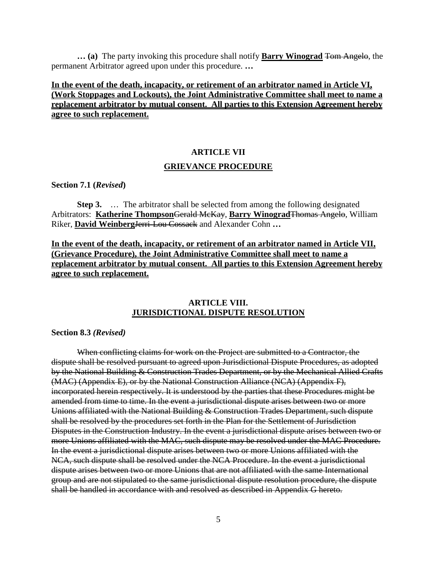**… (a)** The party invoking this procedure shall notify **Barry Winograd** Tom Angelo, the permanent Arbitrator agreed upon under this procedure. **…**

## **In the event of the death, incapacity, or retirement of an arbitrator named in Article VI, (Work Stoppages and Lockouts), the Joint Administrative Committee shall meet to name a replacement arbitrator by mutual consent. All parties to this Extension Agreement hereby agree to such replacement.**

# **ARTICLE VII GRIEVANCE PROCEDURE**

**Section 7.1 (***Revised***)**

**Step 3.** … The arbitrator shall be selected from among the following designated Arbitrators: **Katherine Thompson**Gerald McKay, **Barry Winograd**Thomas Angelo, William Riker, **David Weinberg**Jerri-Lou Cossack and Alexander Cohn **…**

**In the event of the death, incapacity, or retirement of an arbitrator named in Article VII, (Grievance Procedure), the Joint Administrative Committee shall meet to name a replacement arbitrator by mutual consent. All parties to this Extension Agreement hereby agree to such replacement.**

## **ARTICLE VIII. JURISDICTIONAL DISPUTE RESOLUTION**

**Section 8.3** *(Revised)*

When conflicting claims for work on the Project are submitted to a Contractor, the dispute shall be resolved pursuant to agreed upon Jurisdictional Dispute Procedures, as adopted by the National Building & Construction Trades Department, or by the Mechanical Allied Crafts (MAC) (Appendix E), or by the National Construction Alliance (NCA) (Appendix F), incorporated herein respectively. It is understood by the parties that these Procedures might be amended from time to time. In the event a jurisdictional dispute arises between two or more Unions affiliated with the National Building & Construction Trades Department, such dispute shall be resolved by the procedures set forth in the Plan for the Settlement of Jurisdiction Disputes in the Construction Industry. In the event a jurisdictional dispute arises between two or more Unions affiliated with the MAC, such dispute may be resolved under the MAC Procedure. In the event a jurisdictional dispute arises between two or more Unions affiliated with the NCA, such dispute shall be resolved under the NCA Procedure. In the event a jurisdictional dispute arises between two or more Unions that are not affiliated with the same International group and are not stipulated to the same jurisdictional dispute resolution procedure, the dispute shall be handled in accordance with and resolved as described in Appendix G hereto.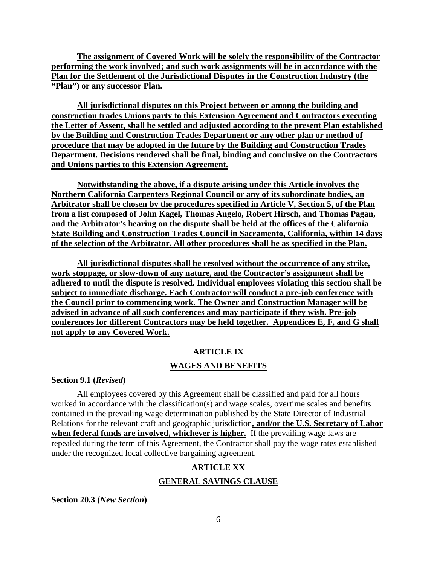**The assignment of Covered Work will be solely the responsibility of the Contractor performing the work involved; and such work assignments will be in accordance with the Plan for the Settlement of the Jurisdictional Disputes in the Construction Industry (the "Plan") or any successor Plan.**

**All jurisdictional disputes on this Project between or among the building and construction trades Unions party to this Extension Agreement and Contractors executing the Letter of Assent, shall be settled and adjusted according to the present Plan established by the Building and Construction Trades Department or any other plan or method of procedure that may be adopted in the future by the Building and Construction Trades Department. Decisions rendered shall be final, binding and conclusive on the Contractors and Unions parties to this Extension Agreement.**

**Notwithstanding the above, if a dispute arising under this Article involves the Northern California Carpenters Regional Council or any of its subordinate bodies, an Arbitrator shall be chosen by the procedures specified in Article V, Section 5, of the Plan from a list composed of John Kagel, Thomas Angelo***,* **Robert Hirsch, and Thomas Pagan, and the Arbitrator's hearing on the dispute shall be held at the offices of the California State Building and Construction Trades Council in Sacramento, California, within 14 days of the selection of the Arbitrator. All other procedures shall be as specified in the Plan.**

**All jurisdictional disputes shall be resolved without the occurrence of any strike, work stoppage, or slow-down of any nature, and the Contractor's assignment shall be adhered to until the dispute is resolved. Individual employees violating this section shall be subject to immediate discharge. Each Contractor will conduct a pre-job conference with the Council prior to commencing work. The Owner and Construction Manager will be advised in advance of all such conferences and may participate if they wish. Pre-job conferences for different Contractors may be held together. Appendices E, F, and G shall not apply to any Covered Work.**

## **ARTICLE IX**

## **WAGES AND BENEFITS**

### **Section 9.1 (***Revised***)**

All employees covered by this Agreement shall be classified and paid for all hours worked in accordance with the classification(s) and wage scales, overtime scales and benefits contained in the prevailing wage determination published by the State Director of Industrial Relations for the relevant craft and geographic jurisdiction**, and/or the U.S. Secretary of Labor when federal funds are involved, whichever is higher.** If the prevailing wage laws are repealed during the term of this Agreement, the Contractor shall pay the wage rates established under the recognized local collective bargaining agreement.

## **ARTICLE XX**

## **GENERAL SAVINGS CLAUSE**

**Section 20.3 (***New Section***)**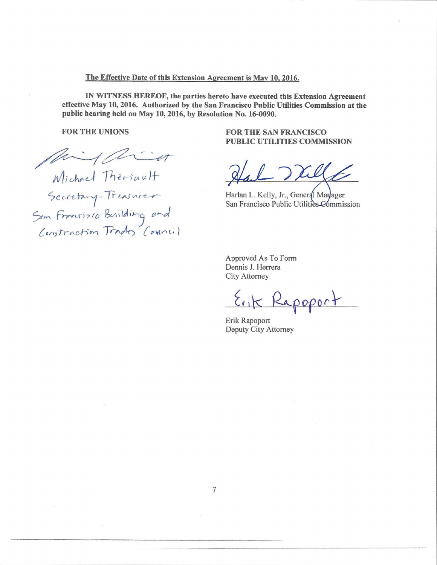#### **The Effective Date of this Extension Agreement is May 10,2016,**

**IN WITNESS HEREOF, the parties hereto have executed this Extension Agreement effective May 10,2016. Authorized by the San Francisco Public Utilities Commission at the public hearing held on May 10,2016, by Resolution No. 16-0090.** 

**FOR THE UNIONS** 

Might

*Michael Thériault*<br>
Secretary-Treasurer<br>
Sem Francisco Bevilding and<br>
Construction Trades Council

**FOR THE SAN FRANCISCO PUBLIC UTILITIES COMMISSION** 

Harlan L. Kelly, Jr., General Marlager San Francisco Public Utilities Commission

Approved As To Form Dennis J. Herrera City Attorney

Rapoport

Erik Rapoport Deputy City Attorney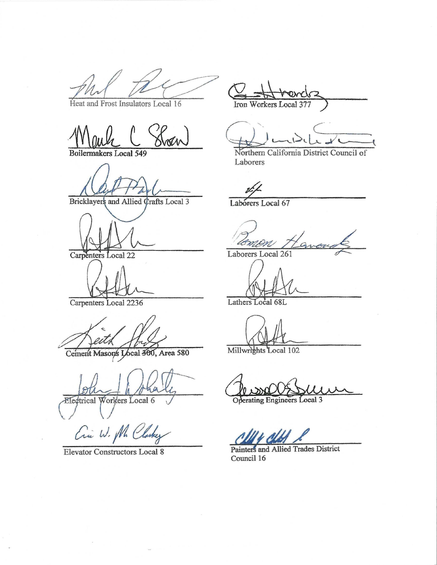Heat and Frost Insulators Local 16

Boilermakers Local 549

Bricklayers and Allied Crafts Local 3

Carpenters Local 22

Carpenters Local 2236

Cement Masons Local 300, Area 580

Eledtrical Workers Local 6

Cin W. M. Clarky

Elevator Constructors Local 8

Iron Workers Local

v  $\sqrt{C}$ 

Northern California District Council of Laborers

Laborers Local 67

Laborers Local 261

Lathers Local 68L

Millwrights Local 102

Operating Engineers Local 3

Painters and Allied Trades District Council 16